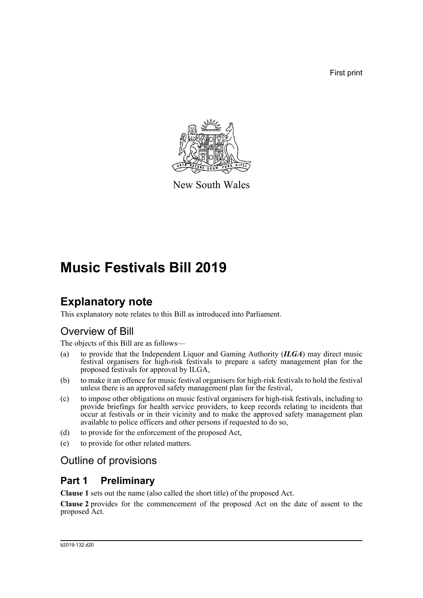First print



New South Wales

# **Music Festivals Bill 2019**

### **Explanatory note**

This explanatory note relates to this Bill as introduced into Parliament.

### Overview of Bill

The objects of this Bill are as follows—

- (a) to provide that the Independent Liquor and Gaming Authority (*ILGA*) may direct music festival organisers for high-risk festivals to prepare a safety management plan for the proposed festivals for approval by ILGA,
- (b) to make it an offence for music festival organisers for high-risk festivals to hold the festival unless there is an approved safety management plan for the festival,
- (c) to impose other obligations on music festival organisers for high-risk festivals, including to provide briefings for health service providers, to keep records relating to incidents that occur at festivals or in their vicinity and to make the approved safety management plan available to police officers and other persons if requested to do so,
- (d) to provide for the enforcement of the proposed Act,
- (e) to provide for other related matters.

### Outline of provisions

### **Part 1 Preliminary**

**Clause 1** sets out the name (also called the short title) of the proposed Act.

**Clause 2** provides for the commencement of the proposed Act on the date of assent to the proposed Act.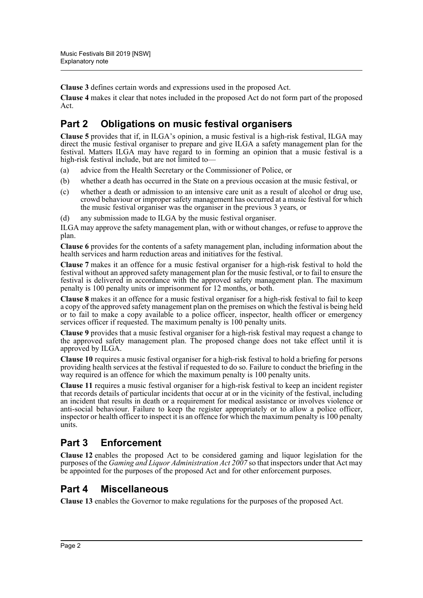**Clause 3** defines certain words and expressions used in the proposed Act.

**Clause 4** makes it clear that notes included in the proposed Act do not form part of the proposed Act.

### **Part 2 Obligations on music festival organisers**

**Clause 5** provides that if, in ILGA's opinion, a music festival is a high-risk festival, ILGA may direct the music festival organiser to prepare and give ILGA a safety management plan for the festival. Matters ILGA may have regard to in forming an opinion that a music festival is a high-risk festival include, but are not limited to-

- (a) advice from the Health Secretary or the Commissioner of Police, or
- (b) whether a death has occurred in the State on a previous occasion at the music festival, or
- (c) whether a death or admission to an intensive care unit as a result of alcohol or drug use, crowd behaviour or improper safety management has occurred at a music festival for which the music festival organiser was the organiser in the previous 3 years, or
- (d) any submission made to ILGA by the music festival organiser.

ILGA may approve the safety management plan, with or without changes, or refuse to approve the plan.

**Clause 6** provides for the contents of a safety management plan, including information about the health services and harm reduction areas and initiatives for the festival.

**Clause 7** makes it an offence for a music festival organiser for a high-risk festival to hold the festival without an approved safety management plan for the music festival, or to fail to ensure the festival is delivered in accordance with the approved safety management plan. The maximum penalty is 100 penalty units or imprisonment for 12 months, or both.

**Clause 8** makes it an offence for a music festival organiser for a high-risk festival to fail to keep a copy of the approved safety management plan on the premises on which the festival is being held or to fail to make a copy available to a police officer, inspector, health officer or emergency services officer if requested. The maximum penalty is 100 penalty units.

**Clause 9** provides that a music festival organiser for a high-risk festival may request a change to the approved safety management plan. The proposed change does not take effect until it is approved by ILGA.

**Clause 10** requires a music festival organiser for a high-risk festival to hold a briefing for persons providing health services at the festival if requested to do so. Failure to conduct the briefing in the way required is an offence for which the maximum penalty is 100 penalty units.

**Clause 11** requires a music festival organiser for a high-risk festival to keep an incident register that records details of particular incidents that occur at or in the vicinity of the festival, including an incident that results in death or a requirement for medical assistance or involves violence or anti-social behaviour. Failure to keep the register appropriately or to allow a police officer, inspector or health officer to inspect it is an offence for which the maximum penalty is 100 penalty units.

### **Part 3 Enforcement**

**Clause 12** enables the proposed Act to be considered gaming and liquor legislation for the purposes of the *Gaming and Liquor Administration Act 2007* so that inspectors under that Act may be appointed for the purposes of the proposed Act and for other enforcement purposes.

### **Part 4 Miscellaneous**

**Clause 13** enables the Governor to make regulations for the purposes of the proposed Act.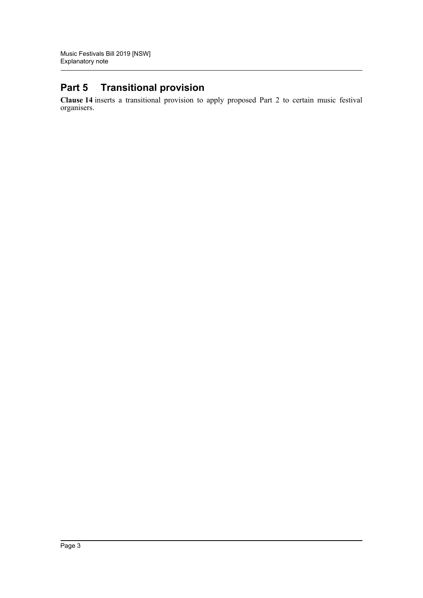### **Part 5 Transitional provision**

**Clause 14** inserts a transitional provision to apply proposed Part 2 to certain music festival organisers.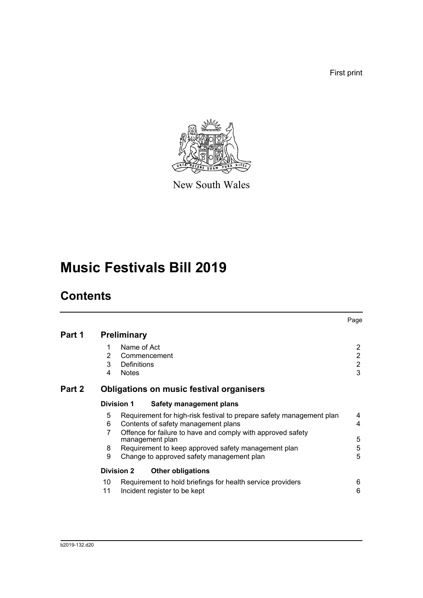First print



New South Wales

# **Music Festivals Bill 2019**

## **Contents**

|        |                       |                                                                                                                                                                                                                                                                                                   | Page                                                    |
|--------|-----------------------|---------------------------------------------------------------------------------------------------------------------------------------------------------------------------------------------------------------------------------------------------------------------------------------------------|---------------------------------------------------------|
| Part 1 |                       | <b>Preliminary</b>                                                                                                                                                                                                                                                                                |                                                         |
|        | 1<br>2<br>3<br>4      | Name of Act<br>Commencement<br>Definitions<br><b>Notes</b>                                                                                                                                                                                                                                        | $\overline{2}$<br>$\overline{2}$<br>$\overline{2}$<br>3 |
| Part 2 |                       | <b>Obligations on music festival organisers</b>                                                                                                                                                                                                                                                   |                                                         |
|        | <b>Division 1</b>     | Safety management plans                                                                                                                                                                                                                                                                           |                                                         |
|        | 5<br>6<br>7<br>8<br>9 | Requirement for high-risk festival to prepare safety management plan<br>Contents of safety management plans<br>Offence for failure to have and comply with approved safety<br>management plan<br>Requirement to keep approved safety management plan<br>Change to approved safety management plan | 4<br>4<br>5<br>5<br>5                                   |
|        | <b>Division 2</b>     | <b>Other obligations</b>                                                                                                                                                                                                                                                                          |                                                         |
|        | 10<br>11              | Requirement to hold briefings for health service providers<br>Incident register to be kept                                                                                                                                                                                                        | 6<br>6                                                  |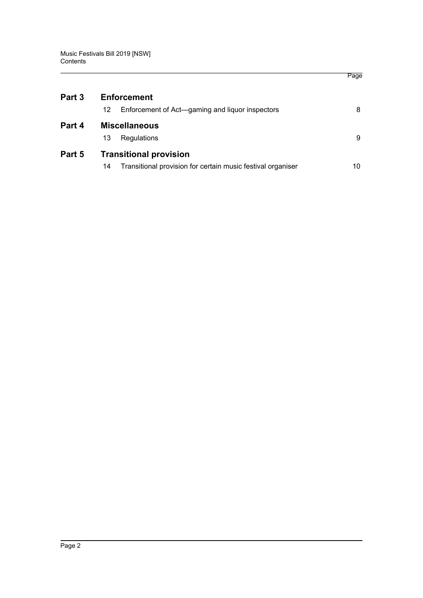| Part 3 | <b>Enforcement</b>                                                |    |  |  |  |
|--------|-------------------------------------------------------------------|----|--|--|--|
|        | Enforcement of Act—gaming and liquor inspectors<br>12             | 8  |  |  |  |
| Part 4 | <b>Miscellaneous</b>                                              |    |  |  |  |
|        | Regulations<br>13                                                 | 9  |  |  |  |
| Part 5 | <b>Transitional provision</b>                                     |    |  |  |  |
|        | Transitional provision for certain music festival organiser<br>14 | 10 |  |  |  |

Page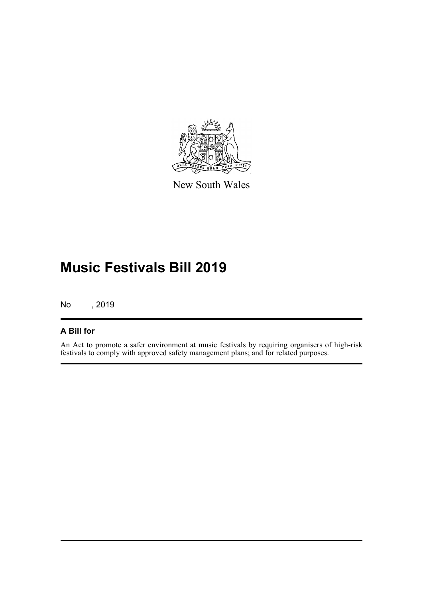

New South Wales

## **Music Festivals Bill 2019**

No , 2019

#### **A Bill for**

An Act to promote a safer environment at music festivals by requiring organisers of high-risk festivals to comply with approved safety management plans; and for related purposes.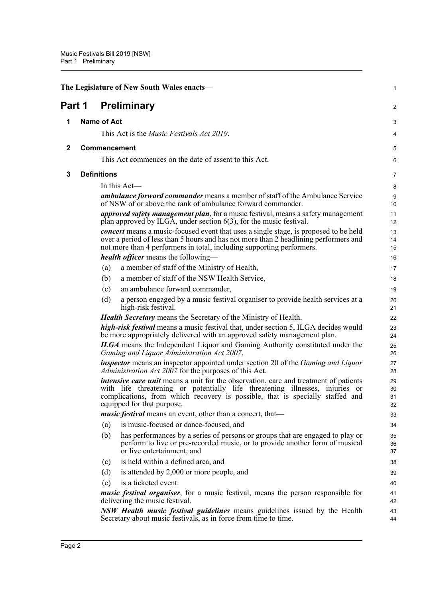<span id="page-6-3"></span><span id="page-6-2"></span><span id="page-6-1"></span><span id="page-6-0"></span>

| The Legislature of New South Wales enacts- |  |                    |                                                                                                                                                                                                                                                                                            | 1                    |
|--------------------------------------------|--|--------------------|--------------------------------------------------------------------------------------------------------------------------------------------------------------------------------------------------------------------------------------------------------------------------------------------|----------------------|
| Part 1                                     |  |                    | <b>Preliminary</b>                                                                                                                                                                                                                                                                         | 2                    |
| 1                                          |  | <b>Name of Act</b> |                                                                                                                                                                                                                                                                                            | 3                    |
|                                            |  |                    | This Act is the <i>Music Festivals Act 2019</i> .                                                                                                                                                                                                                                          | 4                    |
| $\mathbf{2}$                               |  |                    | <b>Commencement</b>                                                                                                                                                                                                                                                                        | 5                    |
|                                            |  |                    | This Act commences on the date of assent to this Act.                                                                                                                                                                                                                                      | 6                    |
|                                            |  |                    |                                                                                                                                                                                                                                                                                            |                      |
| 3                                          |  | <b>Definitions</b> |                                                                                                                                                                                                                                                                                            | 7                    |
|                                            |  |                    | In this Act-<br><b>ambulance forward commander</b> means a member of staff of the Ambulance Service                                                                                                                                                                                        | 8                    |
|                                            |  |                    | of NSW of or above the rank of ambulance forward commander.                                                                                                                                                                                                                                | 9<br>10              |
|                                            |  |                    | approved safety management plan, for a music festival, means a safety management<br>plan approved by ILGA, under section $6(3)$ , for the music festival.                                                                                                                                  | 11<br>12             |
|                                            |  |                    | concert means a music-focused event that uses a single stage, is proposed to be held<br>over a period of less than 5 hours and has not more than 2 headlining performers and<br>not more than 4 performers in total, including supporting performers.                                      | 13<br>14<br>15       |
|                                            |  |                    | <b>health officer</b> means the following—                                                                                                                                                                                                                                                 | 16                   |
|                                            |  | (a)                | a member of staff of the Ministry of Health,                                                                                                                                                                                                                                               | 17                   |
|                                            |  | (b)                | a member of staff of the NSW Health Service,                                                                                                                                                                                                                                               | 18                   |
|                                            |  | (c)                | an ambulance forward commander,                                                                                                                                                                                                                                                            | 19                   |
|                                            |  | (d)                | a person engaged by a music festival organiser to provide health services at a<br>high-risk festival.                                                                                                                                                                                      | 20<br>21             |
|                                            |  |                    | <b>Health Secretary</b> means the Secretary of the Ministry of Health.                                                                                                                                                                                                                     | 22                   |
|                                            |  |                    | high-risk festival means a music festival that, under section 5, ILGA decides would<br>be more appropriately delivered with an approved safety management plan.                                                                                                                            | 23<br>24             |
|                                            |  |                    | <b>ILGA</b> means the Independent Liquor and Gaming Authority constituted under the<br>Gaming and Liquor Administration Act 2007.                                                                                                                                                          | 25<br>26             |
|                                            |  |                    | <b>inspector</b> means an inspector appointed under section 20 of the <i>Gaming and Liquor</i><br>Administration Act 2007 for the purposes of this Act.                                                                                                                                    | 27<br>28             |
|                                            |  |                    | <i>intensive care unit</i> means a unit for the observation, care and treatment of patients<br>with life threatening or potentially life threatening illnesses, injuries or<br>complications, from which recovery is possible, that is specially staffed and<br>equipped for that purpose. | 29<br>30<br>31<br>32 |
|                                            |  |                    | <i>music festival</i> means an event, other than a concert, that—                                                                                                                                                                                                                          | 33                   |
|                                            |  | (a)                | is music-focused or dance-focused, and                                                                                                                                                                                                                                                     | 34                   |
|                                            |  | (b)                | has performances by a series of persons or groups that are engaged to play or<br>perform to live or pre-recorded music, or to provide another form of musical<br>or live entertainment, and                                                                                                | 35<br>36<br>37       |
|                                            |  | (c)                | is held within a defined area, and                                                                                                                                                                                                                                                         | 38                   |
|                                            |  | (d)                | is attended by 2,000 or more people, and                                                                                                                                                                                                                                                   | 39                   |
|                                            |  | (e)                | is a ticketed event.                                                                                                                                                                                                                                                                       | 40                   |
|                                            |  |                    | <i>music festival organiser</i> , for a music festival, means the person responsible for<br>delivering the music festival.                                                                                                                                                                 | 41<br>42             |
|                                            |  |                    | <b>NSW Health music festival guidelines</b> means guidelines issued by the Health<br>Secretary about music festivals, as in force from time to time.                                                                                                                                       | 43<br>44             |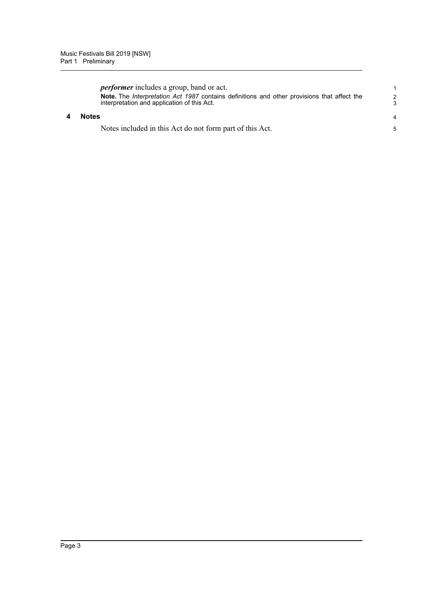<span id="page-7-0"></span>

| <i>performer</i> includes a group, band or act.                                                                                                          |                     |
|----------------------------------------------------------------------------------------------------------------------------------------------------------|---------------------|
| <b>Note.</b> The <i>Interpretation Act 1987</i> contains definitions and other provisions that affect the<br>interpretation and application of this Act. | $\overline{2}$<br>3 |
| <b>Notes</b>                                                                                                                                             |                     |
| Notes included in this Act do not form part of this Act.                                                                                                 | 5                   |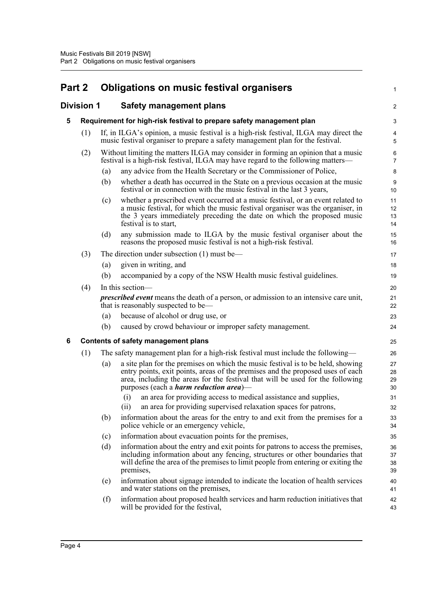### <span id="page-8-0"></span>**Part 2 Obligations on music festival organisers**

#### <span id="page-8-2"></span><span id="page-8-1"></span>**Division 1 Safety management plans**

|     |     | <b>Safety management plans</b>                                                                                                                                                                                                                                       | $\overline{2}$                                                                                                                                                                                                                                                                                                                                                                                                                                                                                                                                                                                                                                                             |
|-----|-----|----------------------------------------------------------------------------------------------------------------------------------------------------------------------------------------------------------------------------------------------------------------------|----------------------------------------------------------------------------------------------------------------------------------------------------------------------------------------------------------------------------------------------------------------------------------------------------------------------------------------------------------------------------------------------------------------------------------------------------------------------------------------------------------------------------------------------------------------------------------------------------------------------------------------------------------------------------|
|     |     |                                                                                                                                                                                                                                                                      | 3                                                                                                                                                                                                                                                                                                                                                                                                                                                                                                                                                                                                                                                                          |
| (1) |     |                                                                                                                                                                                                                                                                      | $\overline{\mathbf{4}}$<br>5                                                                                                                                                                                                                                                                                                                                                                                                                                                                                                                                                                                                                                               |
| (2) |     |                                                                                                                                                                                                                                                                      | 6<br>$\overline{7}$                                                                                                                                                                                                                                                                                                                                                                                                                                                                                                                                                                                                                                                        |
|     | (a) | any advice from the Health Secretary or the Commissioner of Police,                                                                                                                                                                                                  | 8                                                                                                                                                                                                                                                                                                                                                                                                                                                                                                                                                                                                                                                                          |
|     | (b) | whether a death has occurred in the State on a previous occasion at the music<br>festival or in connection with the music festival in the last 3 years,                                                                                                              | 9<br>10                                                                                                                                                                                                                                                                                                                                                                                                                                                                                                                                                                                                                                                                    |
|     | (c) | whether a prescribed event occurred at a music festival, or an event related to<br>a music festival, for which the music festival organiser was the organiser, in<br>the 3 years immediately preceding the date on which the proposed music<br>festival is to start, | 11<br>12<br>13<br>14                                                                                                                                                                                                                                                                                                                                                                                                                                                                                                                                                                                                                                                       |
|     | (d) | any submission made to ILGA by the music festival organiser about the<br>reasons the proposed music festival is not a high-risk festival.                                                                                                                            | 15<br>16                                                                                                                                                                                                                                                                                                                                                                                                                                                                                                                                                                                                                                                                   |
| (3) |     |                                                                                                                                                                                                                                                                      | 17                                                                                                                                                                                                                                                                                                                                                                                                                                                                                                                                                                                                                                                                         |
|     | (a) | given in writing, and                                                                                                                                                                                                                                                | 18                                                                                                                                                                                                                                                                                                                                                                                                                                                                                                                                                                                                                                                                         |
|     | (b) | accompanied by a copy of the NSW Health music festival guidelines.                                                                                                                                                                                                   | 19                                                                                                                                                                                                                                                                                                                                                                                                                                                                                                                                                                                                                                                                         |
| (4) |     |                                                                                                                                                                                                                                                                      | 20                                                                                                                                                                                                                                                                                                                                                                                                                                                                                                                                                                                                                                                                         |
|     |     |                                                                                                                                                                                                                                                                      | 21<br>22                                                                                                                                                                                                                                                                                                                                                                                                                                                                                                                                                                                                                                                                   |
|     | (a) | because of alcohol or drug use, or                                                                                                                                                                                                                                   | 23                                                                                                                                                                                                                                                                                                                                                                                                                                                                                                                                                                                                                                                                         |
|     | (b) | caused by crowd behaviour or improper safety management.                                                                                                                                                                                                             | 24                                                                                                                                                                                                                                                                                                                                                                                                                                                                                                                                                                                                                                                                         |
|     |     |                                                                                                                                                                                                                                                                      | 25                                                                                                                                                                                                                                                                                                                                                                                                                                                                                                                                                                                                                                                                         |
|     |     | ivision 1                                                                                                                                                                                                                                                            | Requirement for high-risk festival to prepare safety management plan<br>If, in ILGA's opinion, a music festival is a high-risk festival, ILGA may direct the<br>music festival organiser to prepare a safety management plan for the festival.<br>Without limiting the matters ILGA may consider in forming an opinion that a music<br>festival is a high-risk festival, ILGA may have regard to the following matters—<br>The direction under subsection $(1)$ must be—<br>In this section—<br><i>prescribed event</i> means the death of a person, or admission to an intensive care unit,<br>that is reasonably suspected to be—<br>Contents of safety management plans |

1

### <span id="page-8-3"></span>**6 Contents of safety management plans**

- (1) The safety management plan for a high-risk festival must include the following—
	- (a) a site plan for the premises on which the music festival is to be held, showing entry points, exit points, areas of the premises and the proposed uses of each area, including the areas for the festival that will be used for the following purposes (each a *harm reduction area*)—
		- (i) an area for providing access to medical assistance and supplies,
		- (ii) an area for providing supervised relaxation spaces for patrons,
	- (b) information about the areas for the entry to and exit from the premises for a police vehicle or an emergency vehicle,
	- (c) information about evacuation points for the premises,
	- (d) information about the entry and exit points for patrons to access the premises, including information about any fencing, structures or other boundaries that will define the area of the premises to limit people from entering or exiting the premises,
	- (e) information about signage intended to indicate the location of health services and water stations on the premises,
	- (f) information about proposed health services and harm reduction initiatives that will be provided for the festival,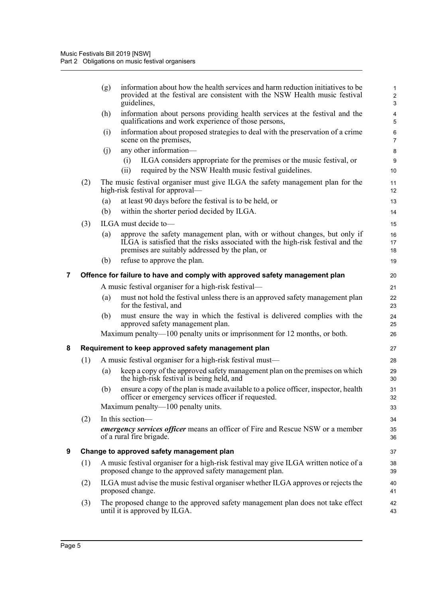<span id="page-9-2"></span><span id="page-9-1"></span><span id="page-9-0"></span>

|   |                                                     | (g) | information about how the health services and harm reduction initiatives to be<br>provided at the festival are consistent with the NSW Health music festival<br>guidelines,                                    | 1<br>$\boldsymbol{2}$<br>$\mathbf{3}$ |  |  |  |
|---|-----------------------------------------------------|-----|----------------------------------------------------------------------------------------------------------------------------------------------------------------------------------------------------------------|---------------------------------------|--|--|--|
|   |                                                     | (h) | information about persons providing health services at the festival and the<br>qualifications and work experience of those persons,                                                                            | 4<br>5                                |  |  |  |
|   |                                                     | (i) | information about proposed strategies to deal with the preservation of a crime<br>scene on the premises,                                                                                                       | 6<br>$\overline{7}$                   |  |  |  |
|   |                                                     | (i) | any other information-                                                                                                                                                                                         | 8                                     |  |  |  |
|   |                                                     |     | ILGA considers appropriate for the premises or the music festival, or<br>(i)<br>required by the NSW Health music festival guidelines.<br>(ii)                                                                  | 9<br>10                               |  |  |  |
|   | (2)                                                 |     | The music festival organiser must give ILGA the safety management plan for the<br>high-risk festival for approval—                                                                                             | 11<br>12                              |  |  |  |
|   |                                                     | (a) | at least 90 days before the festival is to be held, or                                                                                                                                                         | 13                                    |  |  |  |
|   |                                                     | (b) | within the shorter period decided by ILGA.                                                                                                                                                                     | 14                                    |  |  |  |
|   | (3)                                                 |     | ILGA must decide to-                                                                                                                                                                                           | 15                                    |  |  |  |
|   |                                                     | (a) | approve the safety management plan, with or without changes, but only if<br>ILGA is satisfied that the risks associated with the high-risk festival and the<br>premises are suitably addressed by the plan, or | 16<br>17<br>18                        |  |  |  |
|   |                                                     | (b) | refuse to approve the plan.                                                                                                                                                                                    | 19                                    |  |  |  |
| 7 |                                                     |     | Offence for failure to have and comply with approved safety management plan                                                                                                                                    | 20                                    |  |  |  |
|   |                                                     |     | A music festival organiser for a high-risk festival—                                                                                                                                                           | 21                                    |  |  |  |
|   |                                                     | (a) | must not hold the festival unless there is an approved safety management plan<br>for the festival, and                                                                                                         | 22<br>23                              |  |  |  |
|   |                                                     | (b) | must ensure the way in which the festival is delivered complies with the<br>approved safety management plan.                                                                                                   | 24<br>25                              |  |  |  |
|   |                                                     |     | Maximum penalty-100 penalty units or imprisonment for 12 months, or both.                                                                                                                                      | 26                                    |  |  |  |
| 8 | Requirement to keep approved safety management plan |     |                                                                                                                                                                                                                |                                       |  |  |  |
|   | (1)                                                 |     | A music festival organiser for a high-risk festival must—                                                                                                                                                      | 28                                    |  |  |  |
|   |                                                     | (a) | keep a copy of the approved safety management plan on the premises on which<br>the high-risk festival is being held, and                                                                                       | 29<br>30                              |  |  |  |
|   |                                                     | (b) | ensure a copy of the plan is made available to a police officer, inspector, health<br>officer or emergency services officer if requested.                                                                      | 31<br>32                              |  |  |  |
|   |                                                     |     | Maximum penalty—100 penalty units.                                                                                                                                                                             | 33                                    |  |  |  |
|   | (2)                                                 |     | In this section-                                                                                                                                                                                               | 34                                    |  |  |  |
|   |                                                     |     | <i>emergency services officer</i> means an officer of Fire and Rescue NSW or a member<br>of a rural fire brigade.                                                                                              | 35<br>36                              |  |  |  |
| 9 |                                                     |     | Change to approved safety management plan                                                                                                                                                                      | 37                                    |  |  |  |
|   | (1)                                                 |     | A music festival organiser for a high-risk festival may give ILGA written notice of a<br>proposed change to the approved safety management plan.                                                               | 38<br>39                              |  |  |  |
|   | (2)                                                 |     | ILGA must advise the music festival organiser whether ILGA approves or rejects the<br>proposed change.                                                                                                         | 40<br>41                              |  |  |  |
|   | (3)                                                 |     | The proposed change to the approved safety management plan does not take effect<br>until it is approved by ILGA.                                                                                               | 42<br>43                              |  |  |  |
|   |                                                     |     |                                                                                                                                                                                                                |                                       |  |  |  |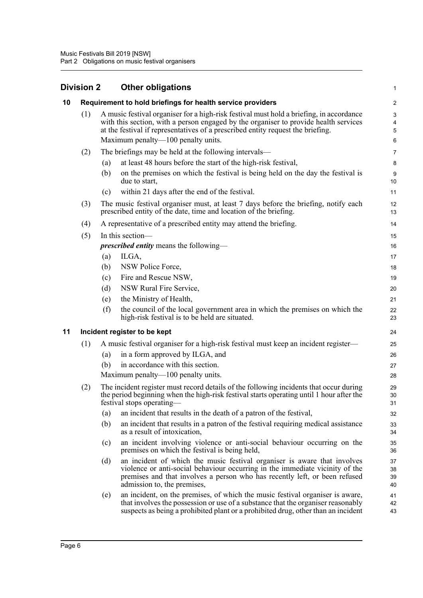<span id="page-10-2"></span><span id="page-10-1"></span><span id="page-10-0"></span>

|    | <b>Division 2</b> |     | <b>Other obligations</b>                                                                                                                                                                                                                                              | 1                    |
|----|-------------------|-----|-----------------------------------------------------------------------------------------------------------------------------------------------------------------------------------------------------------------------------------------------------------------------|----------------------|
| 10 |                   |     | Requirement to hold briefings for health service providers                                                                                                                                                                                                            | $\overline{c}$       |
|    | (1)               |     | A music festival organiser for a high-risk festival must hold a briefing, in accordance<br>with this section, with a person engaged by the organiser to provide health services<br>at the festival if representatives of a prescribed entity request the briefing.    | 3<br>4<br>5          |
|    |                   |     | Maximum penalty—100 penalty units.                                                                                                                                                                                                                                    | 6                    |
|    | (2)               |     | The briefings may be held at the following intervals—                                                                                                                                                                                                                 | 7                    |
|    |                   | (a) | at least 48 hours before the start of the high-risk festival,                                                                                                                                                                                                         | 8                    |
|    |                   | (b) | on the premises on which the festival is being held on the day the festival is<br>due to start,                                                                                                                                                                       | 9<br>10              |
|    |                   | (c) | within 21 days after the end of the festival.                                                                                                                                                                                                                         | 11                   |
|    | (3)               |     | The music festival organiser must, at least 7 days before the briefing, notify each<br>prescribed entity of the date, time and location of the briefing.                                                                                                              | 12<br>13             |
|    | (4)               |     | A representative of a prescribed entity may attend the briefing.                                                                                                                                                                                                      | 14                   |
|    | (5)               |     | In this section—                                                                                                                                                                                                                                                      | 15                   |
|    |                   |     | <i>prescribed entity</i> means the following-                                                                                                                                                                                                                         | 16                   |
|    |                   | (a) | ILGA,                                                                                                                                                                                                                                                                 | 17                   |
|    |                   | (b) | NSW Police Force,                                                                                                                                                                                                                                                     | 18                   |
|    |                   | (c) | Fire and Rescue NSW,                                                                                                                                                                                                                                                  | 19                   |
|    |                   | (d) | NSW Rural Fire Service,                                                                                                                                                                                                                                               | 20                   |
|    |                   | (e) | the Ministry of Health,                                                                                                                                                                                                                                               | 21                   |
|    |                   | (f) | the council of the local government area in which the premises on which the<br>high-risk festival is to be held are situated.                                                                                                                                         | 22<br>23             |
| 11 |                   |     | Incident register to be kept                                                                                                                                                                                                                                          | 24                   |
|    | (1)               |     | A music festival organiser for a high-risk festival must keep an incident register—                                                                                                                                                                                   | 25                   |
|    |                   | (a) | in a form approved by ILGA, and                                                                                                                                                                                                                                       | 26                   |
|    |                   | (b) | in accordance with this section.                                                                                                                                                                                                                                      | 27                   |
|    |                   |     | Maximum penalty— $100$ penalty units.                                                                                                                                                                                                                                 | 28                   |
|    | (2)               |     | The incident register must record details of the following incidents that occur during<br>the period beginning when the high-risk festival starts operating until 1 hour after the<br>testival stops operating—                                                       | 29<br>30<br>31       |
|    |                   | (a) | an incident that results in the death of a patron of the festival,                                                                                                                                                                                                    | 32                   |
|    |                   | (b) | an incident that results in a patron of the festival requiring medical assistance<br>as a result of intoxication,                                                                                                                                                     | 33<br>34             |
|    |                   | (c) | an incident involving violence or anti-social behaviour occurring on the<br>premises on which the festival is being held,                                                                                                                                             | 35<br>36             |
|    |                   | (d) | an incident of which the music festival organiser is aware that involves<br>violence or anti-social behaviour occurring in the immediate vicinity of the<br>premises and that involves a person who has recently left, or been refused<br>admission to, the premises, | 37<br>38<br>39<br>40 |
|    |                   | (e) | an incident, on the premises, of which the music festival organiser is aware,<br>that involves the possession or use of a substance that the organiser reasonably<br>suspects as being a prohibited plant or a prohibited drug, other than an incident                | 41<br>42<br>43       |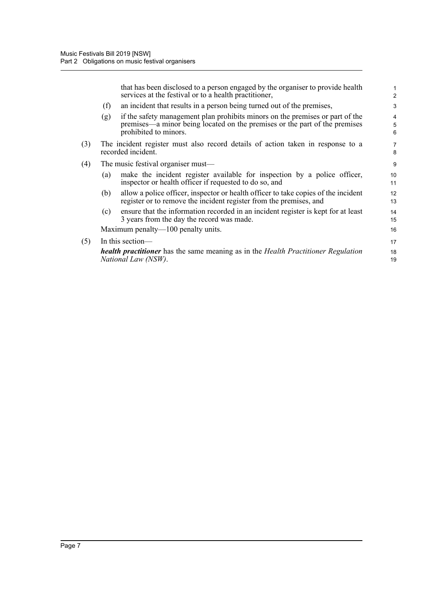that has been disclosed to a person engaged by the organiser to provide health services at the festival or to a health practitioner,

- (f) an incident that results in a person being turned out of the premises,
- (g) if the safety management plan prohibits minors on the premises or part of the premises—a minor being located on the premises or the part of the premises prohibited to minors.
- (3) The incident register must also record details of action taken in response to a recorded incident.
- (4) The music festival organiser must—
	- (a) make the incident register available for inspection by a police officer, inspector or health officer if requested to do so, and
	- (b) allow a police officer, inspector or health officer to take copies of the incident register or to remove the incident register from the premises, and
	- (c) ensure that the information recorded in an incident register is kept for at least 3 years from the day the record was made.

Maximum penalty—100 penalty units.

(5) In this section—

*health practitioner* has the same meaning as in the *Health Practitioner Regulation National Law (NSW)*.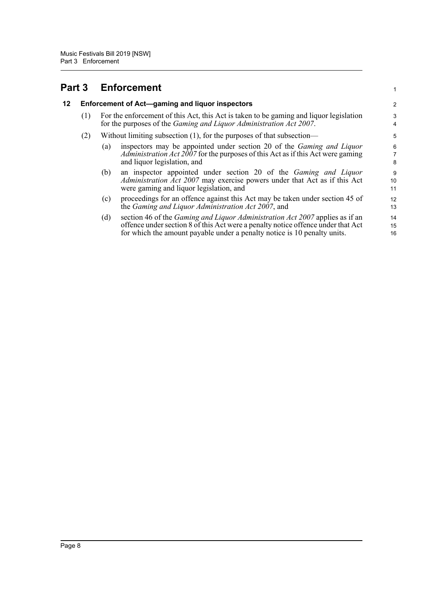### <span id="page-12-0"></span>**Part 3 Enforcement**

#### <span id="page-12-1"></span>**12 Enforcement of Act—gaming and liquor inspectors**

- (1) For the enforcement of this Act, this Act is taken to be gaming and liquor legislation for the purposes of the *Gaming and Liquor Administration Act 2007*.
- (2) Without limiting subsection (1), for the purposes of that subsection—
	- (a) inspectors may be appointed under section 20 of the *Gaming and Liquor Administration Act 2007* for the purposes of this Act as if this Act were gaming and liquor legislation, and

1

- (b) an inspector appointed under section 20 of the *Gaming and Liquor Administration Act 2007* may exercise powers under that Act as if this Act were gaming and liquor legislation, and
- (c) proceedings for an offence against this Act may be taken under section 45 of the *Gaming and Liquor Administration Act 2007*, and
- (d) section 46 of the *Gaming and Liquor Administration Act 2007* applies as if an offence under section 8 of this Act were a penalty notice offence under that Act for which the amount payable under a penalty notice is 10 penalty units. 14 15 16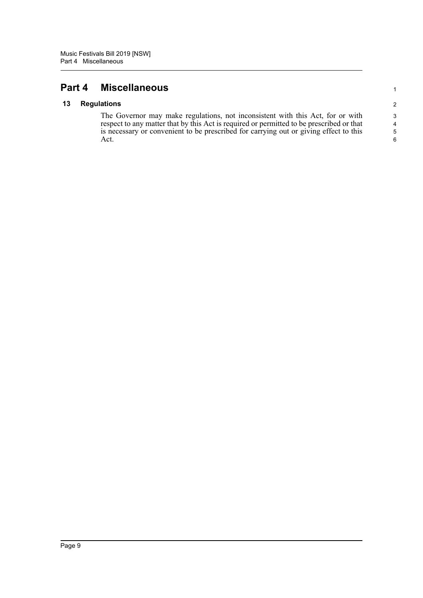### <span id="page-13-0"></span>**Part 4 Miscellaneous**

#### <span id="page-13-1"></span>**13 Regulations**

The Governor may make regulations, not inconsistent with this Act, for or with respect to any matter that by this Act is required or permitted to be prescribed or that is necessary or convenient to be prescribed for carrying out or giving effect to this Act.